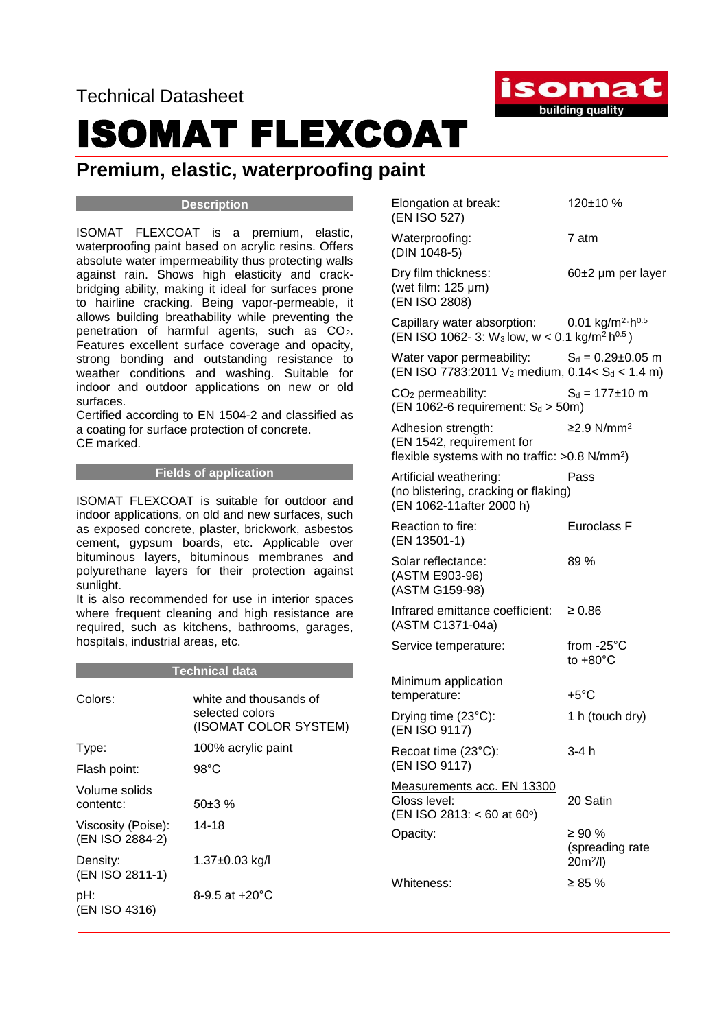Technical Datasheet

## ISOMAT FLEXCOAT

### **Premium, elastic, waterproofing paint**

#### **Description**

ISOMAT FLEXCOAT is a premium, elastic, waterproofing paint based on acrylic resins. Offers absolute water impermeability thus protecting walls against rain. Shows high elasticity and crackbridging ability, making it ideal for surfaces prone to hairline cracking. Being vapor-permeable, it allows building breathability while preventing the penetration of harmful agents, such as CO2. Features excellent surface coverage and opacity, strong bonding and outstanding resistance to weather conditions and washing. Suitable for indoor and outdoor applications on new or old surfaces.

Certified according to EN 1504-2 and classified as a coating for surface protection of concrete. CE marked.

#### **Fields of application**

ISOMAT FLEXCOAT is suitable for outdoor and indoor applications, on old and new surfaces, such as exposed concrete, plaster, brickwork, asbestos cement, gypsum boards, etc. Applicable over bituminous layers, bituminous membranes and polyurethane layers for their protection against sunlight.

It is also recommended for use in interior spaces where frequent cleaning and high resistance are required, such as kitchens, bathrooms, garages, hospitals, industrial areas, etc.

**Technical data**

|                                       | ı <del>c</del> umnual uala                                         |
|---------------------------------------|--------------------------------------------------------------------|
| Colors:                               | white and thousands of<br>selected colors<br>(ISOMAT COLOR SYSTEM) |
| Type:                                 | 100% acrylic paint                                                 |
| Flash point:                          | 98°C                                                               |
| Volume solids<br>contentc:            | $50+3%$                                                            |
| Viscosity (Poise):<br>(EN ISO 2884-2) | 14-18                                                              |
| Density:<br>(EN ISO 2811-1)           | 1.37±0.03 kg/l                                                     |
| pH:<br>(EN ISO 4316)                  | 8-9.5 at $+20^{\circ}$ C                                           |
|                                       |                                                                    |

| Elongation at break:<br>(EN ISO 527) | $120\pm10%$ |
|--------------------------------------|-------------|
|                                      |             |

Waterproofing: 7 atm (DIN 1048-5)

Dry film thickness: 60±2 μm per layer (wet film: 125 μm) (EN ISO 2808)

Capillary water absorption:  $\cdot$ h $^{0.5}$  $(EN ISO 1062-3: W<sub>3</sub> low, w < 0.1 kg/m<sup>2</sup> h<sup>0.5</sup>)$ 

Water vapor permeability:  $S_d = 0.29 \pm 0.05$  m (EN ISO 7783:2011 V<sub>2</sub> medium, 0.14 <  $S_d$  < 1.4 m)

 $CO<sub>2</sub>$  permeability:  $S<sub>d</sub> = 177±10$  m (EN 1062-6 requirement:  $S_d > 50$ m)

Adhesion strength: ≥2.9 N/mm<sup>2</sup> (EN 1542, requirement for flexible systems with no traffic:  $>0.8$  N/mm<sup>2</sup>)

Artificial weathering: Pass (no blistering, cracking or flaking) (EN 1062-11after 2000 h)

| Reaction to fire: | Euroclass F |
|-------------------|-------------|
| (EN 13501-1)      |             |

Solar reflectance: 89 % (ASTM E903-96) (ASTM G159-98)

Infrared emittance coefficient: ≥ 0.86 (ASTM C1371-04a)

Service temperature: from -25°C to  $+80^{\circ}$ C Minimum application temperature: +5°C

Drying time (23°C): 1 h (touch dry) (EN ISO 9117) Recoat time (23°C): 3-4 h (EN ISO 9117)

(EN ISO 2813: < 60 at 60°)

Measurements acc. EN 13300 Gloss level: 20 Satin

Opacity:  $\geq 90\%$ (spreading rate 20m<sup>2</sup> /l) Whiteness:  $\geq 85 \%$ 

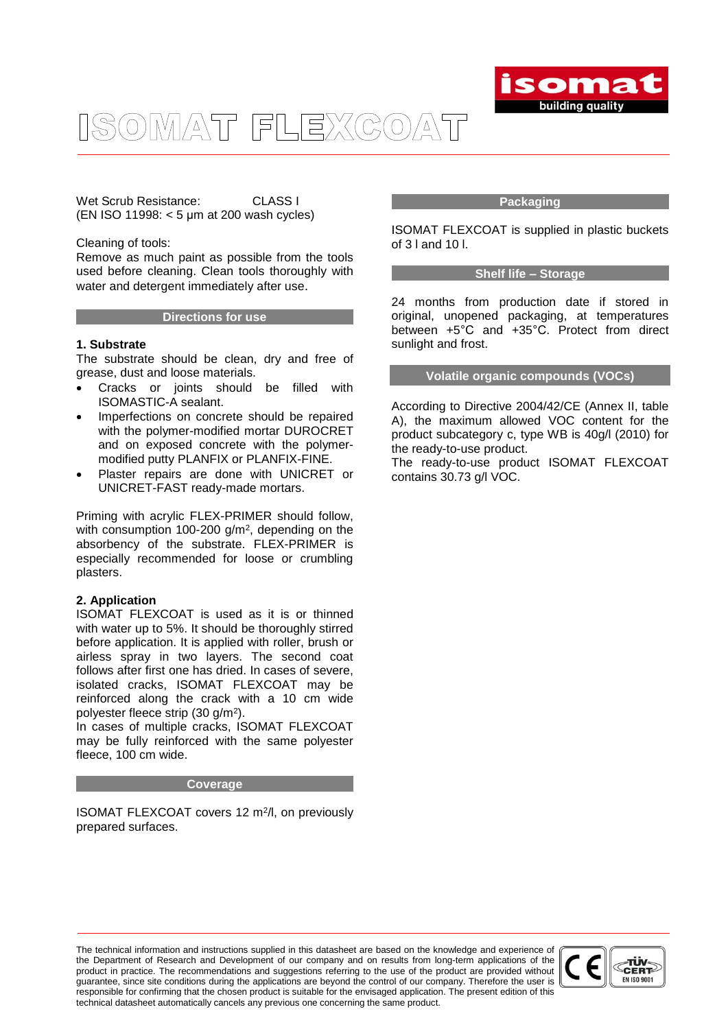

Wet Scrub Resistance: CLASS I (EN ISO 11998: < 5 μm at 200 wash cycles)

#### Cleaning of tools:

Remove as much paint as possible from the tools used before cleaning. Clean tools thoroughly with water and detergent immediately after use.

#### **Directions for use**

#### **1. Substrate**

The substrate should be clean, dry and free of grease, dust and loose materials.

- Cracks or joints should be filled with ISOMASTIC-A sealant.
- Imperfections on concrete should be repaired with the polymer-modified mortar DUROCRET and on exposed concrete with the polymermodified putty PLANFIX or PLANFIX-FINE.
- Plaster repairs are done with UNICRET or UNICRET-FAST ready-made mortars.

Priming with acrylic FLEX-PRIMER should follow, with consumption 100-200 g/m<sup>2</sup>, depending on the absorbency of the substrate. FLEX-PRIMER is especially recommended for loose or crumbling plasters.

#### **2. Application**

ISOMAT FLEXCOAT is used as it is or thinned with water up to 5%. It should be thoroughly stirred before application. It is applied with roller, brush or airless spray in two layers. The second coat follows after first one has dried. In cases of severe, isolated cracks, ISOMAT FLEXCOAT may be reinforced along the crack with a 10 cm wide polyester fleece strip (30 g/m<sup>2</sup> ).

In cases of multiple cracks, ISOMAT FLEXCOAT may be fully reinforced with the same polyester fleece, 100 cm wide.

#### **Coverage**

ISOMAT FLEXCOAT covers 12 m<sup>2</sup>/l, on previously prepared surfaces.

#### **Packaging**

ISOMAT FLEXCOAT is supplied in plastic buckets of 3 l and 10 l.

#### **Shelf life – Storage**

24 months from production date if stored in original, unopened packaging, at temperatures between +5°C and +35°C. Protect from direct sunlight and frost.

#### **Volatile organic compounds (VOCs)**

According to Directive 2004/42/CE (Annex II, table A), the maximum allowed VOC content for the product subcategory c, type WB is 40g/l (2010) for the ready-to-use product.

The ready-to-use product ISOMAT FLEXCOAT contains 30.73 g/l VOC.